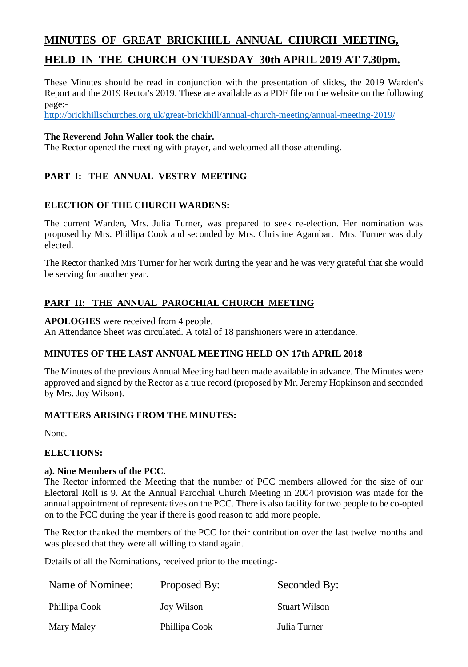# **MINUTES OF GREAT BRICKHILL ANNUAL CHURCH MEETING, HELD IN THE CHURCH ON TUESDAY 30th APRIL 2019 AT 7.30pm.**

These Minutes should be read in conjunction with the presentation of slides, the 2019 Warden's Report and the 2019 Rector's 2019. These are available as a PDF file on the website on the following page:-

<http://brickhillschurches.org.uk/great-brickhill/annual-church-meeting/annual-meeting-2019/>

## **The Reverend John Waller took the chair.**

The Rector opened the meeting with prayer, and welcomed all those attending.

# **PART I: THE ANNUAL VESTRY MEETING**

### **ELECTION OF THE CHURCH WARDENS:**

The current Warden, Mrs. Julia Turner, was prepared to seek re-election. Her nomination was proposed by Mrs. Phillipa Cook and seconded by Mrs. Christine Agambar. Mrs. Turner was duly elected.

The Rector thanked Mrs Turner for her work during the year and he was very grateful that she would be serving for another year.

# **PART II: THE ANNUAL PAROCHIAL CHURCH MEETING**

**APOLOGIES** were received from 4 people.

An Attendance Sheet was circulated. A total of 18 parishioners were in attendance.

# **MINUTES OF THE LAST ANNUAL MEETING HELD ON 17th APRIL 2018**

The Minutes of the previous Annual Meeting had been made available in advance. The Minutes were approved and signed by the Rector as a true record (proposed by Mr. Jeremy Hopkinson and seconded by Mrs. Joy Wilson).

### **MATTERS ARISING FROM THE MINUTES:**

None.

### **ELECTIONS:**

### **a). Nine Members of the PCC.**

The Rector informed the Meeting that the number of PCC members allowed for the size of our Electoral Roll is 9. At the Annual Parochial Church Meeting in 2004 provision was made for the annual appointment of representatives on the PCC. There is also facility for two people to be co-opted on to the PCC during the year if there is good reason to add more people.

The Rector thanked the members of the PCC for their contribution over the last twelve months and was pleased that they were all willing to stand again.

Details of all the Nominations, received prior to the meeting:-

| Name of Nominee: | Proposed By:  | Seconded By:         |
|------------------|---------------|----------------------|
| Phillipa Cook    | Joy Wilson    | <b>Stuart Wilson</b> |
| Mary Maley       | Phillipa Cook | Julia Turner         |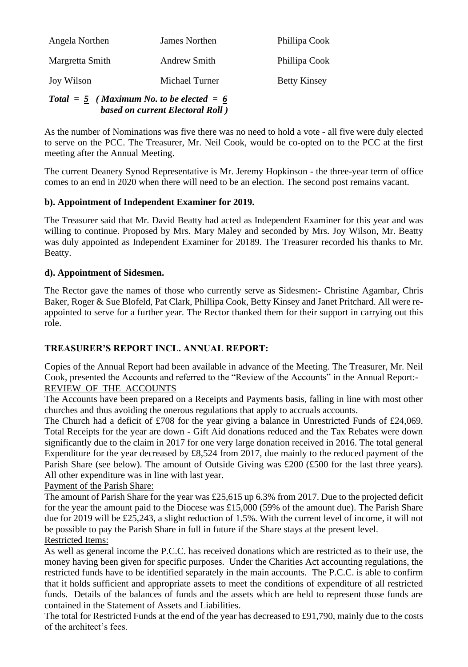| Angela Northen  | James Northen  | Phillipa Cook       |
|-----------------|----------------|---------------------|
| Margretta Smith | Andrew Smith   | Phillipa Cook       |
| Joy Wilson      | Michael Turner | <b>Betty Kinsey</b> |

#### *Total = 5 ( Maximum No. to be elected = 6 based on current Electoral Roll )*

As the number of Nominations was five there was no need to hold a vote - all five were duly elected to serve on the PCC. The Treasurer, Mr. Neil Cook, would be co-opted on to the PCC at the first meeting after the Annual Meeting.

The current Deanery Synod Representative is Mr. Jeremy Hopkinson - the three-year term of office comes to an end in 2020 when there will need to be an election. The second post remains vacant.

### **b). Appointment of Independent Examiner for 2019.**

The Treasurer said that Mr. David Beatty had acted as Independent Examiner for this year and was willing to continue. Proposed by Mrs. Mary Maley and seconded by Mrs. Joy Wilson, Mr. Beatty was duly appointed as Independent Examiner for 20189. The Treasurer recorded his thanks to Mr. Beatty.

### **d). Appointment of Sidesmen.**

The Rector gave the names of those who currently serve as Sidesmen:- Christine Agambar, Chris Baker, Roger & Sue Blofeld, Pat Clark, Phillipa Cook, Betty Kinsey and Janet Pritchard. All were reappointed to serve for a further year. The Rector thanked them for their support in carrying out this role.

### **TREASURER'S REPORT INCL. ANNUAL REPORT:**

Copies of the Annual Report had been available in advance of the Meeting. The Treasurer, Mr. Neil Cook, presented the Accounts and referred to the "Review of the Accounts" in the Annual Report:- REVIEW OF THE ACCOUNTS

The Accounts have been prepared on a Receipts and Payments basis, falling in line with most other churches and thus avoiding the onerous regulations that apply to accruals accounts.

The Church had a deficit of £708 for the year giving a balance in Unrestricted Funds of £24,069. Total Receipts for the year are down - Gift Aid donations reduced and the Tax Rebates were down significantly due to the claim in 2017 for one very large donation received in 2016. The total general Expenditure for the year decreased by £8,524 from 2017, due mainly to the reduced payment of the Parish Share (see below). The amount of Outside Giving was £200 (£500 for the last three years). All other expenditure was in line with last year.

Payment of the Parish Share:

The amount of Parish Share for the year was £25,615 up 6.3% from 2017. Due to the projected deficit for the year the amount paid to the Diocese was £15,000 (59% of the amount due). The Parish Share due for 2019 will be £25,243, a slight reduction of 1.5%. With the current level of income, it will not be possible to pay the Parish Share in full in future if the Share stays at the present level. Restricted Items:

As well as general income the P.C.C. has received donations which are restricted as to their use, the money having been given for specific purposes. Under the Charities Act accounting regulations, the restricted funds have to be identified separately in the main accounts. The P.C.C. is able to confirm that it holds sufficient and appropriate assets to meet the conditions of expenditure of all restricted funds. Details of the balances of funds and the assets which are held to represent those funds are contained in the Statement of Assets and Liabilities.

The total for Restricted Funds at the end of the year has decreased to £91,790, mainly due to the costs of the architect's fees.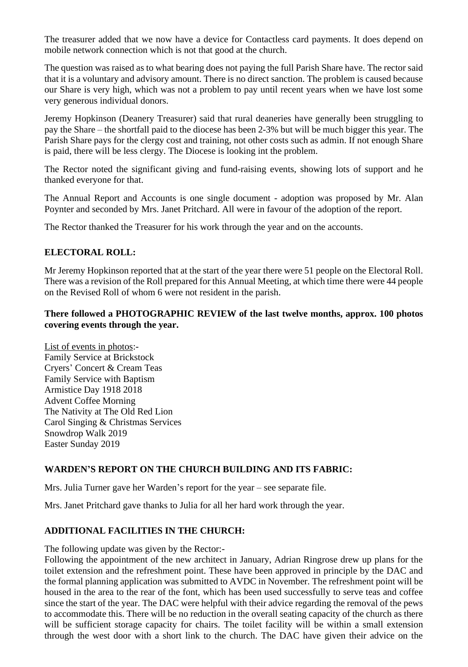The treasurer added that we now have a device for Contactless card payments. It does depend on mobile network connection which is not that good at the church.

The question was raised as to what bearing does not paying the full Parish Share have. The rector said that it is a voluntary and advisory amount. There is no direct sanction. The problem is caused because our Share is very high, which was not a problem to pay until recent years when we have lost some very generous individual donors.

Jeremy Hopkinson (Deanery Treasurer) said that rural deaneries have generally been struggling to pay the Share – the shortfall paid to the diocese has been 2-3% but will be much bigger this year. The Parish Share pays for the clergy cost and training, not other costs such as admin. If not enough Share is paid, there will be less clergy. The Diocese is looking int the problem.

The Rector noted the significant giving and fund-raising events, showing lots of support and he thanked everyone for that.

The Annual Report and Accounts is one single document - adoption was proposed by Mr. Alan Poynter and seconded by Mrs. Janet Pritchard. All were in favour of the adoption of the report.

The Rector thanked the Treasurer for his work through the year and on the accounts.

### **ELECTORAL ROLL:**

Mr Jeremy Hopkinson reported that at the start of the year there were 51 people on the Electoral Roll. There was a revision of the Roll prepared for this Annual Meeting, at which time there were 44 people on the Revised Roll of whom 6 were not resident in the parish.

#### **There followed a PHOTOGRAPHIC REVIEW of the last twelve months, approx. 100 photos covering events through the year.**

List of events in photos:- Family Service at Brickstock Cryers' Concert & Cream Teas Family Service with Baptism Armistice Day 1918 2018 Advent Coffee Morning The Nativity at The Old Red Lion Carol Singing & Christmas Services Snowdrop Walk 2019 Easter Sunday 2019

#### **WARDEN'S REPORT ON THE CHURCH BUILDING AND ITS FABRIC:**

Mrs. Julia Turner gave her Warden's report for the year – see separate file.

Mrs. Janet Pritchard gave thanks to Julia for all her hard work through the year.

### **ADDITIONAL FACILITIES IN THE CHURCH:**

The following update was given by the Rector:-

Following the appointment of the new architect in January, Adrian Ringrose drew up plans for the toilet extension and the refreshment point. These have been approved in principle by the DAC and the formal planning application was submitted to AVDC in November. The refreshment point will be housed in the area to the rear of the font, which has been used successfully to serve teas and coffee since the start of the year. The DAC were helpful with their advice regarding the removal of the pews to accommodate this. There will be no reduction in the overall seating capacity of the church as there will be sufficient storage capacity for chairs. The toilet facility will be within a small extension through the west door with a short link to the church. The DAC have given their advice on the